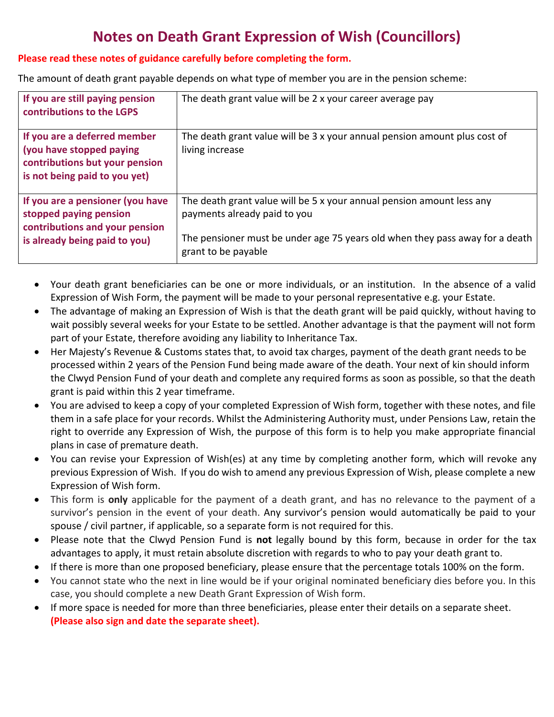# **Notes on Death Grant Expression of Wish (Councillors)**

## **Please read these notes of guidance carefully before completing the form.**

The amount of death grant payable depends on what type of member you are in the pension scheme:

| If you are still paying pension<br>contributions to the LGPS                                                                  | The death grant value will be 2 x your career average pay                                                                                                                                                    |
|-------------------------------------------------------------------------------------------------------------------------------|--------------------------------------------------------------------------------------------------------------------------------------------------------------------------------------------------------------|
| If you are a deferred member<br>(you have stopped paying<br>contributions but your pension<br>is not being paid to you yet)   | The death grant value will be 3 x your annual pension amount plus cost of<br>living increase                                                                                                                 |
| If you are a pensioner (you have<br>stopped paying pension<br>contributions and your pension<br>is already being paid to you) | The death grant value will be 5 x your annual pension amount less any<br>payments already paid to you<br>The pensioner must be under age 75 years old when they pass away for a death<br>grant to be payable |

- Your death grant beneficiaries can be one or more individuals, or an institution. In the absence of a valid Expression of Wish Form, the payment will be made to your personal representative e.g. your Estate.
- The advantage of making an Expression of Wish is that the death grant will be paid quickly, without having to wait possibly several weeks for your Estate to be settled. Another advantage is that the payment will not form part of your Estate, therefore avoiding any liability to Inheritance Tax.
- Her Majesty's Revenue & Customs states that, to avoid tax charges, payment of the death grant needs to be processed within 2 years of the Pension Fund being made aware of the death. Your next of kin should inform the Clwyd Pension Fund of your death and complete any required forms as soon as possible, so that the death grant is paid within this 2 year timeframe.
- You are advised to keep a copy of your completed Expression of Wish form, together with these notes, and file them in a safe place for your records. Whilst the Administering Authority must, under Pensions Law, retain the right to override any Expression of Wish, the purpose of this form is to help you make appropriate financial plans in case of premature death.
- You can revise your Expression of Wish(es) at any time by completing another form, which will revoke any previous Expression of Wish. If you do wish to amend any previous Expression of Wish, please complete a new Expression of Wish form.
- This form is **only** applicable for the payment of a death grant, and has no relevance to the payment of a survivor's pension in the event of your death. Any survivor's pension would automatically be paid to your spouse / civil partner, if applicable, so a separate form is not required for this.
- Please note that the Clwyd Pension Fund is **not** legally bound by this form, because in order for the tax advantages to apply, it must retain absolute discretion with regards to who to pay your death grant to.
- If there is more than one proposed beneficiary, please ensure that the percentage totals 100% on the form.
- You cannot state who the next in line would be if your original nominated beneficiary dies before you. In this case, you should complete a new Death Grant Expression of Wish form.
- If more space is needed for more than three beneficiaries, please enter their details on a separate sheet. **(Please also sign and date the separate sheet).**